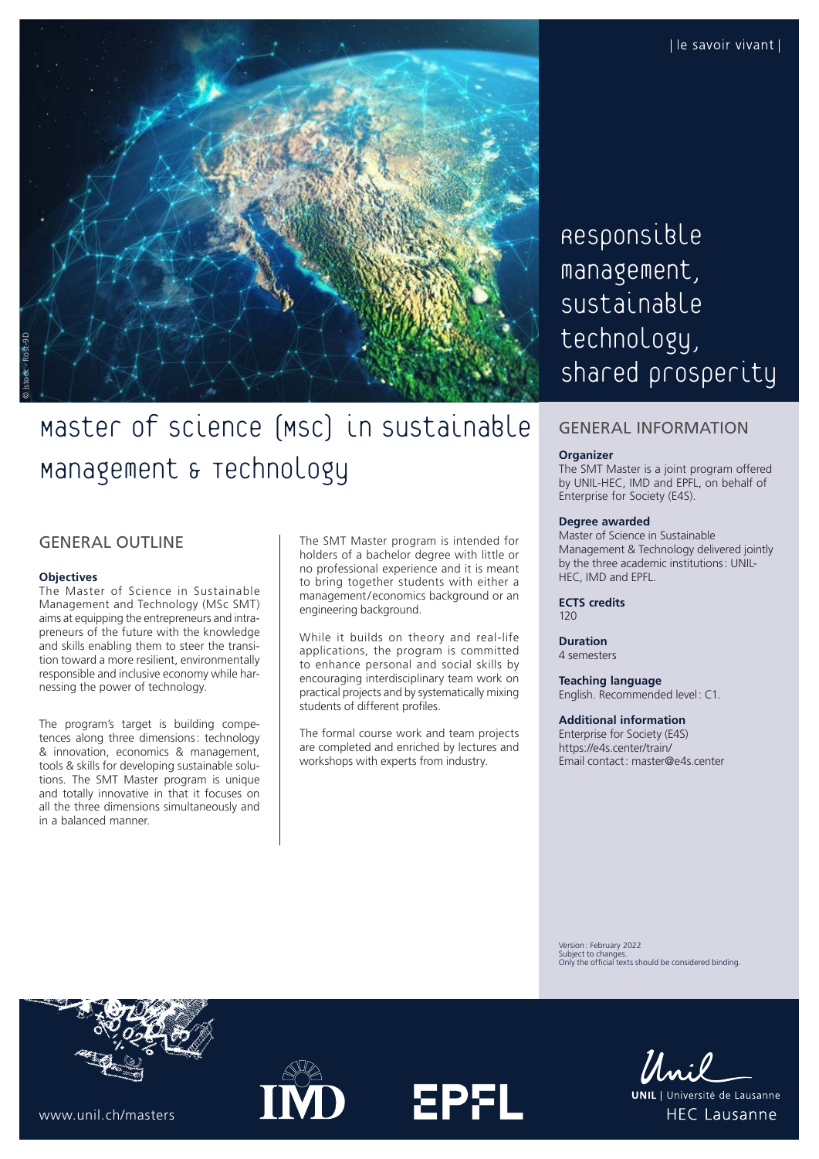

# Master of Science (MSc) in Sustainable Management & Technology

# GENERAL OUTLINE

#### **Objectives**

The Master of Science in Sustainable Management and Technology (MSc SMT) aims at equipping the entrepreneurs and intrapreneurs of the future with the knowledge and skills enabling them to steer the transition toward a more resilient, environmentally responsible and inclusive economy while harnessing the power of technology.

The program's target is building competences along three dimensions: technology & innovation, economics & management, tools & skills for developing sustainable solutions. The SMT Master program is unique and totally innovative in that it focuses on all the three dimensions simultaneously and in a balanced manner.

The SMT Master program is intended for holders of a bachelor degree with little or no professional experience and it is meant to bring together students with either a management/economics background or an engineering background.

While it builds on theory and real-life applications, the program is committed to enhance personal and social skills by encouraging interdisciplinary team work on practical projects and by systematically mixing students of different profiles.

The formal course work and team projects are completed and enriched by lectures and workshops with experts from industry.

**EPFL** 

Responsible management, Sustainable technology, shared prosperity

## GENERAL INFORMATION

#### **Organizer**

The SMT Master is a joint program offered by UNIL-HEC, IMD and EPFL, on behalf of Enterprise for Society (E4S).

## **Degree awarded**

Master of Science in Sustainable Management & Technology delivered jointly by the three academic institutions: UNIL-HEC, IMD and EPFL.

**ECTS credits**  $120$ 

**Duration** 4 semesters

**Teaching language** English. Recommended level: C1.

## **Additional information**

Enterprise for Society (E4S) <https://e4s.center/train/> Email contact: [master@e4s.center](mailto:master@e4s.center)

Version: February 2022 Subject to changes. Only the official texts should be considered binding.